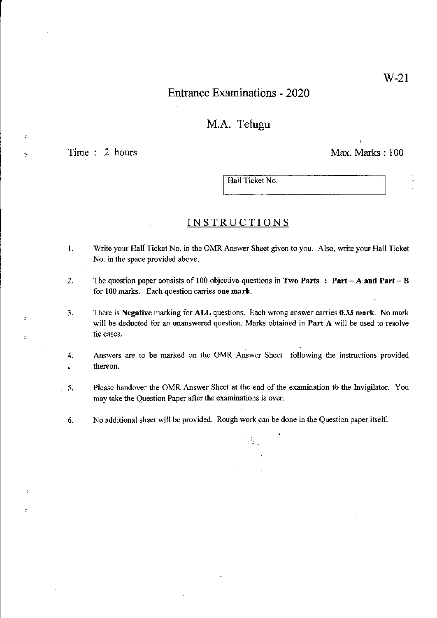## Entrance Examinations - 2020

## M.A. Telugu

 $\mathbf{r}$ 

 $\ddot{\phantom{1}}$ 

 $\overline{a}$ 

k.

Time : 2 hours Max. Marks: 100

Hall Ticket No.

#### INSTRUCTIONS

- 1. Write your Hall Ticket No. in the OMRAnswer Sheet given to you. Also, write your Hall Ticket No. in the space provided above.
- 2. The question paper consists of 100 objective questions in Two Parts : Part A and Part B for 100 marks. Each question carries one mark.
- 3. There is Negative marking for ALL questions. Each wrong answer carries 0.33 mark. No mark will be deducted for an unanswered question. Marks obtained in Part A will be used to resolve tie cases.
- 4. Answers are to be marked on the OMR Answer Sheet following the instructions provided thereon.  $\hat{\mathbf{r}}$
- 5. Please handover the OMR Answer Sheet at the end of the examination to the Invigilator. You may take the Question Paper after the examinations is over.

 $\mathcal{F}^{\text{c}}=\sum_{i=1}^n\mathcal{F}_i$ 

6. No additional sheet will be provided. Rough work can be done in the Question paper itself.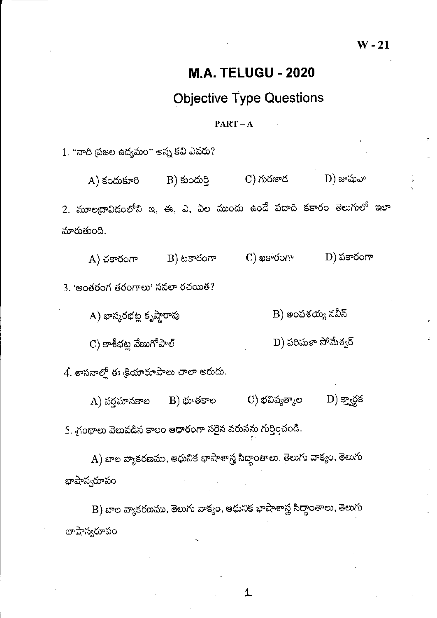## **M.A. TELUGU - 2020**

# **Objective Type Questions**

### $PART - A$

1. "నాది ప్రజల ఉద్యమం" అన్న కవి ఎవరు?

 $A)$  కందుకూరి  $C)$  గురజాద  $\mathbf{D})$  జాషువా  $B)$  కుందుర్తి 2. మూలద్రావిడంలోని ఇ, ఈ, ఎ, ఏల ముందు ఉండే పదాది కకారం తెలుగులో ఇలా మారుతుంది.

 $D)$  పకారంగా  $\sim$  C) ఖకారంగా B) టకారంగా  $A)$  చకారంగా

3. 'అంతరంగ తరంగాలు' నవలా రచయిత?

 $B)$  అంపశయ్య నవీన్ A) భాస్మరభట్ల కృష్ణారావు

 $\mathbf C)$  కాశీభట్ల వేణుగోపాల్ D) పరిమళా సోమేశ్వర్

4. శాసనాల్లో ఈ క్రియారూపాలు చాలా అరుదు.

C) భవిష్యత్మాల  $D)$  క్వార్డక B) భూతకాల A) వర్షమానకాల 5. గ్రంథాలు వెలువడిన కాలం ఆధారంగా సరైన వరుసను గుర్తించండి.

A) బాల వ్యాకరణము, ఆధునిక భాషాశాస్త్ర సిద్ధాంతాలు, తెలుగు వాక్యం, తెలుగు భాషాస్వరూపం

B) బాల వ్యాకరణము, తెలుగు వాక్యం, ఆధునిక భాషాశాస్త్ర సిద్దాంతాలు, తెలుగు భాషాస్వరూపం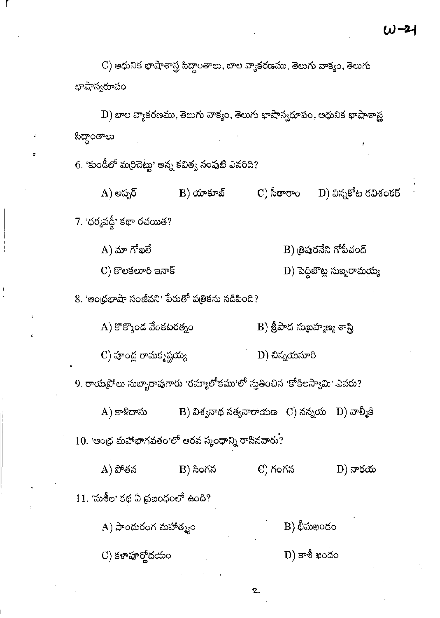$\mathbf C$ ) ఆధునిక భాషాశాస్త్ర సిద్ధాంతాలు, బాల వ్యాకరణము, తెలుగు వాక్యం, తెలుగు భాషాస్వరూప<mark>ం</mark>

 $\mathbf{D})$  బాల వ్యాకరణము, తెలుగు వాక్యం, తెలుగు భాషాస్వరూపం, అధునిక భాషాశాస్త్ర సిద్ధాంతాలు

6. 'కుండీలో మరిచెట్టు' అన్న కవిత్వ సంపుటి ఎవరిది?

 $\overline{\mathrm{D}}$ ) విన్నకోట రవిశంకర్ C) సీతారాం  $A)$  అప్పర్  $B)$  యాకూబ్ 7. 'ధర్మవడ్డీ' కథా రచయిత?

 $\mathbf B$ ) త్రిపురనేని గోపీచంద్  $(A)$  మా గోఖలే

 $\mathbf{D})$  పెద్దిబొట్ల సుబ్బరామయ్య

 $C)$  కొలకలూరి ఇనాక్

8. 'ఆంథ్రభాషా సంజీవని' పేరుతో పత్రికను నడిపింది?

 $A)$  కొక్కొండ వేంకటరత్నం  $\mathbf B)$  శ్రీపాద సుబహ్మణ్య శాస్త్రి

 $\mathbf C)$  పూండ్ల రామకృష్ణయ్య  $D)$  చిన్నయసూరి

9. రాయప్రోలు సుబ్బారావుగారు 'రమ్యాలోకము'లో స్తుతించిన 'కోకిలస్వామి' ఎవరు?

 $A)$  కాళిదాసు B) విశ్వనాథ సత్యనారాయణ $\sim$  C) నన్నయ $\sim$  D) వాల్మీకి

 $10.$  'అంద్ర మహాభాగవతం'లో అరవ స్కంధాన్ని రాసినవారు?

A) పోతన  $B)$  సింగన  $C)$  గంగన  $\left(D\right)$  నారయ  $11.$  'సుశీల' కథ ఏ ప్రబంధంలో ఉంది?  $B)$  భీమఖందం A) పాందురంగ మహాత్మ్యం

 $(D)$  కాశీ ఖందం  $\mathbf C)$  కళాహర్హోదయం

 $\mathbf{z}$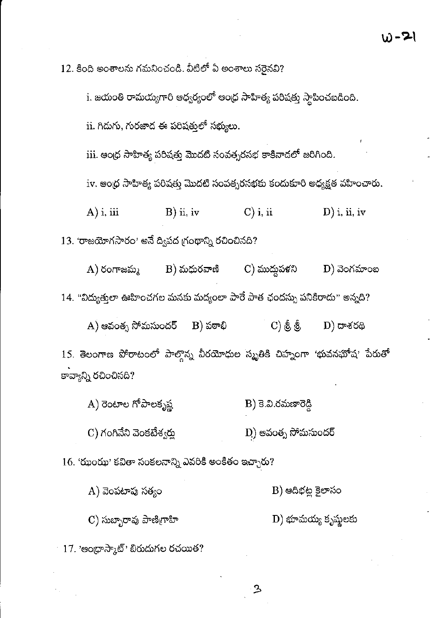12. కింది అంశాలను గమనించండి. వీటిలో ఏ అంశాలు సరైనవి?

i. జయంతి రామయ్యగారి ఆధ్వర్యంలో ఆంధ్ర సాహిత్య పరిషత్తు స్థాపించబడింది. ii. గిదుగు, గురజాద ఈ పరిషత్తలో సభ్యులు.  $\,$ iii. ఆంధ్ర సాహిత్య పరిషత్తు మొదటి సంవత్సరసభ కాకినాడలో జరిగింది.  $\operatorname{iv}$ . ఆంధ్ర సాహిత్య పరిషత్తు మొదటి సంవత్సరసభకు కందుకూరి అధ్యక్షత వహించారు.  $A)$  i, iii  $B)$  ii, iv  $C$ ) i, ii  $\mathbf{D}$ ) i, ii, iv  $13.$  'రాజయోగసారం' అనే ద్విపద గ్రంథాన్ని రచించినది?  $C)$  ముద్దుపళని  $A)$  రంగాజమ్మ  $B)$  మధురవాణి  $\mathbf{D}$ ) వెంగమాంబ 14. "విద్యుత్తులా ఊహించగల మనకు మద్యంలా పారే పాత ఛందస్సు పనికిరాదు" అన్నది?  $(A)$  ఆవంత్స సోమసుందర్  $\mathbf{C}$ ) & &  $B)$  పఠాభి  $\left(\mathrm{D}\right)$  దాశరథి 15. తెలంగాణ పోరాటంలో పాల్గొన్న వీరయోధుల స్మృతికి చిహ్నంగా 'భువనభోష' పేరుతో కావ్యాన్ని రచించినది? A) రెంటాల గోపాలకృష్ణ  $B$ ) కె.వి.రమణారెడ్డి C) గంగినేని వెంకటేశ్వర్తు D) ఆవంత్న సోమసుందర్

 $16.$  'ఝంఝ' కవితా సంకలనాన్ని ఎవరికి అంకితం ఇచ్చారు?

B) ఆదిభట్ల కైలాసం  $A)$  వెంపటాపు సత్యం

 $\mathbf C$ ) సుబ్బారావు పాణిగ్రాహి D) భూమయ్య కృష్ణలకు

ይ

 $17.$  'ఆంథ్రాస్మాట్' బిరుదుగల రచయిత?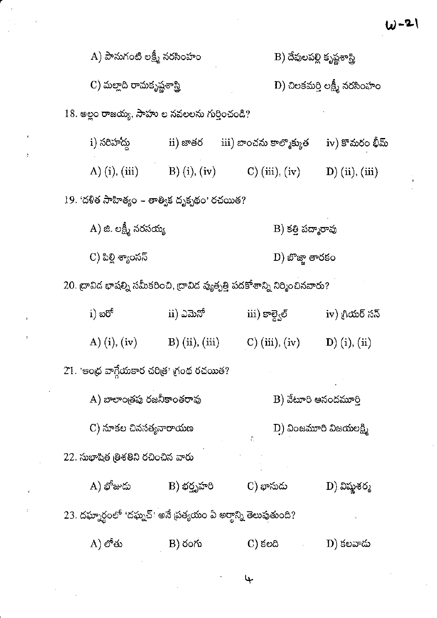| $\mathbf{A})$ పానుగంటి లక్ష్మీ నరసింహం                                         |               | B) దేవులపల్లి కృష్ణశాస్త్రి                             |                                     |  |
|--------------------------------------------------------------------------------|---------------|---------------------------------------------------------|-------------------------------------|--|
| $\mathbf C$ ) మల్లాది రామకృష్ణశాస్త్రి                                         |               |                                                         | $D)$ చిలకమర్తి లక్ష్మీ నరసింహం      |  |
| $18.$ అల్లం రాజయ్య, సాహు ల నవలలను గుర్తించండి?                                 |               |                                                         |                                     |  |
| i) సరిహాద్తు                                                                   |               | $\mathrm{ii})$ జాతర $\mathrm{iii)}$ బాంచను కాల్మొక్కుత  | iv) కొమరం భీమ్                      |  |
| A) $(i)$ , $(iii)$                                                             |               | B) (i), (iv) C) (iii), (iv)                             | $D)$ (ii), (iii)                    |  |
| 19. 'దళిత సాహిత్యం – తాత్విక దృక్పథం' రచయిత?                                   |               |                                                         |                                     |  |
| $\boldsymbol{A})$ జి. లక్ష్మీ నరసయ్య                                           |               | B) కత్తి పద్మారావు                                      |                                     |  |
| C) పిల్లి శ్యాంసస్                                                             |               | $\mathbf{D})$ బొజ్జా తారకం                              |                                     |  |
| $20.$ ద్రావిద భాషల్ని సమీకరించి, ద్రావిద వ్యత్పత్తి పదకోశాన్ని నిర్మించినవారు? |               |                                                         |                                     |  |
| $i)$ හරි්                                                                      | ii) ಎಮನ್      | $\mathrm{iii})$ కాల్వెల్                                | iv) గ్రియర్ సన్                     |  |
|                                                                                |               | A) (i), (iv) B) (ii), (iii) C) (iii), (iv) D) (i), (ii) |                                     |  |
| 21. 'ఆంధ్ర వాగ్గేయకార చరిత్ర' గ్రంథ రచయిత?                                     |               |                                                         |                                     |  |
| $A)$ బాలాంత్రపు రజనీకాంతరావు                                                   |               |                                                         | B) వేటూరి అనందమూర్తి                |  |
| C) నూకల చినసత్యనారాయణ                                                          |               |                                                         | $\mathbf{D}$ ) వింజమూరి విజయలక్ష్మి |  |
| 22. సుభాషిత త్రిశతిని రచించిన వారు                                             |               |                                                         |                                     |  |
| A) భోజుదు                                                                      | $B)$ భర్తృహరి | C) భానుదు                                               | D) విష్ణుశర్మ                       |  |
| 23. దఘ్నార్థంలో 'దఘ్నచ్' అనే ప్రత్యయం ఏ అర్థాన్ని తెలుపుతుంది?                 |               |                                                         |                                     |  |
| $A)$ లోతు                                                                      | $B)$ రంగు     | $C)$ కలది                                               | D) కలవాదు                           |  |
|                                                                                |               | Ψ                                                       |                                     |  |
|                                                                                |               |                                                         |                                     |  |

 $\label{eq:2.1} \mathcal{L}(\mathcal{L}^{\mathcal{L}}_{\mathcal{L}}(\mathcal{L}^{\mathcal{L}}_{\mathcal{L}})) = \mathcal{L}(\mathcal{L}^{\mathcal{L}}_{\mathcal{L}}(\mathcal{L}^{\mathcal{L}}_{\mathcal{L}}))$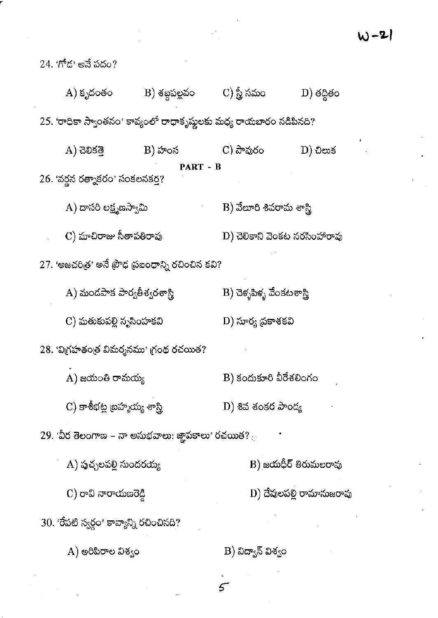W-21

 $24. '1 \text{m}^2 \text{m} \cdot \text{m}$ ణే పదం? C) స్త్రీ సమం  $A)$  కృదంతం B) శబ్దపల్లవం  $D)$  తద్దితం 25. 'రాధికా స్వాంతనం' కావ్యంలో రాధాకృష్ణలకు మధ్య రాయబారం నడిపినది?  $B)$  హంస  $\mathbf C$ ) పావురం  $D)$  ඩිපාර්  $A)$  ವಿಲಿಕೆತ್ತ PART - B 26. 'వర్జన రత్నాకరం' సంకలనకర్త? A) దాసరి లక్ష్మణస్వామి B) వేలూరి శివరామ శాస్త్రి  $\mathbf C$ ) మాచిరాజు సీతాపతిరావు  $D$ ) చెలికాని వెంకట నరసింహారావు 27. 'అజచరిత్ర' అనే ప్రౌఢ ప్రబంధాన్ని రచించిన కవి? A) మండపాక పార్వతీశ్వరశాస్త్రి  $\mathbf{B})$  చెళ్ళపిళ్ళ వేంకటశాస్త్రి C) మతుకుపల్లి నృసింహకవి D) సూర్య ద్రకాశకవి  $28.$  'విగ్రహతంత్ర విమర్శనము' గ్రంథ రచయిత?  $A)$  జయంతి రామయ్య  $B)$  కందుకూరి వీరేశలింగం  $\mathbf{C}$ ) కాశీభట్ల బ్రహ్మయ్య శాస్త్రి  $\mathbf{D}$ ) శివ శంకర పాండ్య  $29.$  'వీర తెలంగాణ – నా అనుభవాలు: జ్ఞాపకాలు' రచయిత? $\ldots$  $\mathbf{A})$  పుచ్చలపల్లి సుందరయ్య  $B)$ జయధీర్ తిరుమలరావు  $C$ ) రావి నారాయణరెడ్డి D) దేవులపల్లి రామానుజరావు 30. 'రేపటి స్వర్గం' కావ్యాన్ని రచించినది?  $(A)$  అరిపిరాల విశ్వం B) విద్యాన్ విశ్వం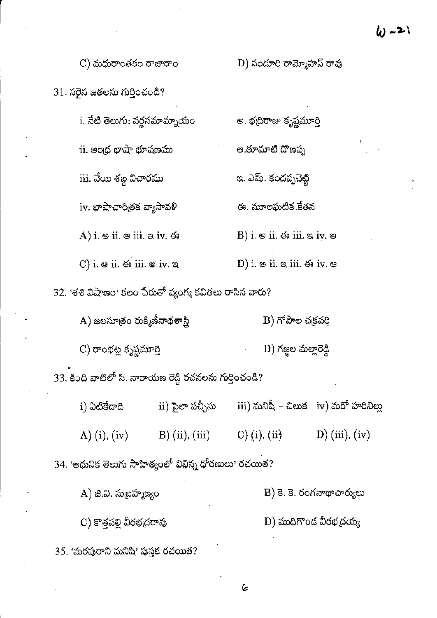D) నందూరి రామ్మోహన్ రావు

అ. భద్రిరాజు కృష్ణమూర్తి

అ.తూమాటి దొణప్ప

ఇ. ఎమ్. కందప్పచెట్టి

ఈ. మూలఘటిక కేతన

B) i.  $\circ$  ii.  $\circ$  iii.  $\circ$  iv.  $\circ$ 

 $C$ ) మధురాంతకం రాజారాం

31. సరైన జతలను గుర్తించండి?

i. నేటి తెలుగు: వర్ణసమామ్నాయం

 $\mathbf i$ i. ఆంధ్ర భాషా భూషణము

iii. వేయి శబ్ద విచారము

iv. భాషాచారిత్రక వ్యాసావళి

A) i.  $\circ$  ii.  $\circ$  iii.  $\circ$  iv.  $\circ$ 

C) i.  $\circ$  ii.  $\circ$  iii.  $\circ$  iv.  $\circ$ D) i.  $\circ$  ii.  $\circ$  iii.  $\circ$  iv.  $\circ$ 

32. 'శశి విషాణం' కలం పేరుతో వ్యంగ్య కవితలు రాసిన వారు?

B) గోపాల చక్రవర్తి  $(A)$  జలసూత్రం రుక్మిణీనాథశాస్త్రి  $\mathbf D)$  గజ్జల మల్లారెడ్డి C) రాంభట్ల కృష్ణమూర్తి 33. కింది వాటిలో సి. నారాయణ రెడ్డి రచనలను గుర్తించండి?

 $\overline{\text{iii}}$ ) మనిషీ – చిలుక $\overline{\text{iv}}$ ) మరో హరివిల్లు ii) పైలా పచ్చీసు i) ఏటికేడాది  $C)$  (i), (ii) A) (i), (iv)  $B)$  (ii), (iii)  $D)$  (iii), (iv)

34. 'ఆధునిక తెలుగు సాహిత్యంలో విభిన్న ధోరణులు' రచయిత?

 $B$ ) కె. కె. రంగనాథాచార్యులు  $(A)$  జి.వి. సుబ్రహ్మణ్యం

C) కొత్తపల్లి వీరభద్రరావు  $D)$  ముదిగొండ వీరభ $\phi$ య్య

35. 'మరపురాని మనిషి' పుస్తక రచయిత?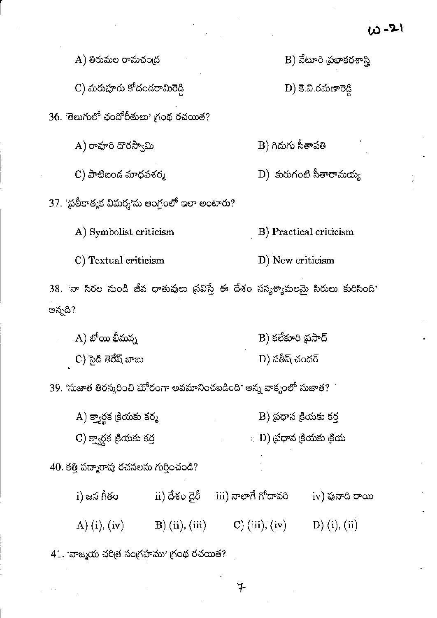$B$ ) వేటూరి (పభాకరశాస్త్రి  $A)$  తిరుమల రామచంద్ర C) మరుపూరు కోదందరామిరెడ్డి  $D$ ) కె.వి.రమణారెడ్డి 36. తెలుగులో ఛందోరీతులు' గ్రంథ రచయిత? A) రావూరి దొరస్వామి B) గిదుగు సీతాపతి  $\mathbf{D})$  కురుగంటి సీతారామయ్య  $C$ ) పాటిబంద మాధవశర్మ 37. 'ప్రతీకాత్మక విమర్శ'ను ఆంగ్లంలో ఇలా అంటారు? A) Symbolist criticism B) Practical criticism C) Textual criticism D) New criticism  $38.$  'నా సిరల నుండి జీవ ధాతువులు స్రవిస్తే ఈ దేశం సస్యశ్యామలమై సీరులు కురిసింది' అన్నది?  $A)$  బోయి భీమన్న B) కలేకూరి ప్రసాద్  $\mathbf C$ ) పైడి తెరేష్ బాబు  $D)$  సతీష్ చందర్  $39.$  'సుజాత తిరస్కరించి ఘోరంగా అవమానించబడింది' అన్న వాక్యంలో సుజాత? $^+$  $(A)$  క్యార్థక డ్రియకు కర్మ  $B$ ) ద్రధాన <sub>(</sub>కియకు కర్త  $(C)$  క్వార్థక క్రియకు కర్త  $\langle \cdot | {\rm D} \rangle$  బ్రోధాన క్రియకు క్రియ 40. కత్తి పద్మారావు రచనలను గుర్తించండి? i) జన గీతం ii) దేశం డైరీ iii) నాలాగే గోదావరి iv) పునాది రాయి A) (i), (iv) B) (ii), (iii) C) (iii), (iv) D) (i), (ii)

41. 'వాఙ్మయ చరిత్ర సంగ్రహము' గ్రంథ రచయిత?

 $\begin{bmatrix} 1 \\ 1 \end{bmatrix}$ 

チ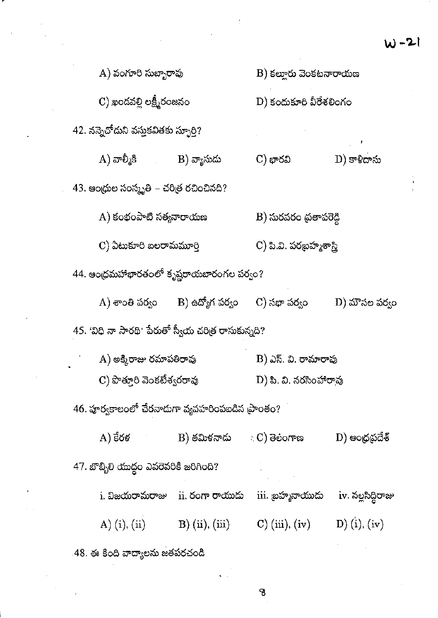$\frac{\partial}{\partial t} = \frac{\partial}{\partial x}$ 

 $\mathcal{A}^{\text{max}}_{\text{max}}$ 

|                                                        |                                     |                                  | <b>W·</b>                |  |  |
|--------------------------------------------------------|-------------------------------------|----------------------------------|--------------------------|--|--|
| A) వంగూరి సుబ్బారావు                                   |                                     | $B$ ) కల్లూరు వెంకటనారాయణ        |                          |  |  |
|                                                        | $\mathbf C$ ) ఖండవల్లి లక్ష్మీరంజనం |                                  | $D)$ కందుకూరి వీరేశలింగం |  |  |
| 42. నన్నెచోదుని వస్తుకవితకు స్ఫూర్తి?                  |                                     |                                  |                          |  |  |
| $\boldsymbol{\mathrm{A}}$ ) వాల్మీకి                   | B) వ్యాసుదు                         | $\mathbf C$ ) భారవి              | $\mathbf{D})$ కాళీదాసు   |  |  |
| 43. అంధ్రుల సంస్కృతి – చరిత్ర రచించినది?               |                                     |                                  |                          |  |  |
| A) కంభంపాటి సత్యనారాయణ                                 |                                     | $\mathbf B)$ సురవరం ప్రతాపరెడ్డి |                          |  |  |
| C) ఏటుకూరి బలరామమూర్తి                                 |                                     | C) పి.వి. పరబ్రహ్మశాస్త్రి       |                          |  |  |
| 44. ఆంధ్రమహాభారతంలో కృష్ణరాయబారంగల పర్వం?              |                                     |                                  |                          |  |  |
| A) శాంతి పర్వం                                         | B) ఉద్యోగ పర్వం                     | $\sim$ ) సభా పర్వం               | D) మౌసల పర్యం            |  |  |
| $45.$ 'విధి నా సారథి' పేరుతో స్వీయ చరిత్ర రాసుకున్నది? |                                     |                                  |                          |  |  |
|                                                        | $(A)$ అక్కిరాజు రమాపతిరావు          |                                  | B) ఎస్. వి. రామారావు     |  |  |
|                                                        | C) పొత్తూరి వెంకటేశ్వరరావు          |                                  | D) పి. వి. నరసింహారావు   |  |  |
| 46. హర్వకాలంలో చేరనాదుగా వ్యవహరింపబడిన (పాంతం?         |                                     |                                  |                          |  |  |
| A) కేరళ                                                | B) తమిళనాదు                         | : C) తెలంగాణ                     | D) ఆంధ్రప్రదేశ్          |  |  |
| 47. బొబ్బిలి యుద్ధం ఎవరెవరికి జరిగింది?                |                                     |                                  |                          |  |  |
| i. విజయరామరాజు                                         | ii. రంగా రాయుదు                     | iii. జ్రహ్మనాయుడు                | iv. నల్లసిద్ధిరాజు       |  |  |
| A) $(i)$ , $(ii)$                                      | B) (ii), (iii)                      | $\mathbf{C}$ ) (iii), (iv)       | $D)$ (i), (iv)           |  |  |
| .48. ఈ కింది వాద్యాలను జతపరచండి                        |                                     |                                  |                          |  |  |
|                                                        |                                     |                                  |                          |  |  |

 $\ddot{\phantom{0}}$ 

 $\mathbb{R}^2$ 

 $\sim$ 

 $\epsilon_{\rm{max}}$ 

 $\label{eq:2.1} \frac{1}{\sqrt{2}}\sum_{i=1}^n\frac{1}{\sqrt{2}}\sum_{j=1}^n\frac{1}{\sqrt{2}}\sum_{j=1}^n\frac{1}{\sqrt{2}}\sum_{j=1}^n\frac{1}{\sqrt{2}}\sum_{j=1}^n\frac{1}{\sqrt{2}}\sum_{j=1}^n\frac{1}{\sqrt{2}}\sum_{j=1}^n\frac{1}{\sqrt{2}}\sum_{j=1}^n\frac{1}{\sqrt{2}}\sum_{j=1}^n\frac{1}{\sqrt{2}}\sum_{j=1}^n\frac{1}{\sqrt{2}}\sum_{j=1}^n\frac$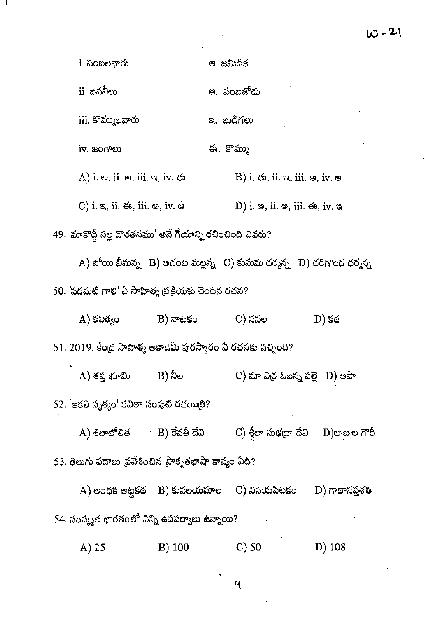$10 - 21$ 

|                                                              |                                        | i. పంబలవారు                                                              |                     | అ. జమిడిక |                                                                           |                                                                                                                |  |  |
|--------------------------------------------------------------|----------------------------------------|--------------------------------------------------------------------------|---------------------|-----------|---------------------------------------------------------------------------|----------------------------------------------------------------------------------------------------------------|--|--|
|                                                              |                                        | ii. బవనీలు                                                               |                     |           | ఆ. పంబజోదు                                                                |                                                                                                                |  |  |
|                                                              |                                        | iii. కొమ్ములవారు                                                         |                     |           | ಇ. කයීగలు                                                                 |                                                                                                                |  |  |
|                                                              |                                        | iv. జంగాలు                                                               |                     |           | ఈ. కొమ్ము                                                                 |                                                                                                                |  |  |
|                                                              |                                        | A) i. $\omega$ , ii. $\omega$ , iii. $\omega$ , iv. $\omega$             |                     |           | $B)$ i. ఈ, ii. ఇ, iii. ఆ, iv. అ                                           |                                                                                                                |  |  |
|                                                              |                                        | $C)$ i. a, ii. $\mathfrak{S}$ , iii. $\mathfrak{S}$ , iv. $\mathfrak{S}$ |                     |           | $(D)$ i. $\otimes$ , ii. $\otimes$ , iii. $\breve{\nabla}$ , iv. $\infty$ |                                                                                                                |  |  |
|                                                              |                                        | 49. 'మాకొద్దీ నల్ల దొరతనము' అనే గేయాన్ని రచించింది ఎవరు?                 |                     |           |                                                                           |                                                                                                                |  |  |
|                                                              |                                        |                                                                          |                     |           |                                                                           | $\mathbf{A})$ బోయి భీమన్న $\mathbf{B})$ ఆచంట మల్లన్న $\mathbf{C})$ కుసుమ ధర్మన్న $\mathbf{D})$ చరిగొండ ధర్మన్న |  |  |
| 50. 'పడమటి గాలి' ఏ సాహిత్య ప్రక్రియకు చెందిన రచన?            |                                        |                                                                          |                     |           |                                                                           |                                                                                                                |  |  |
|                                                              |                                        | $(A)$ కవిత్వం                                                            | $\mathbf B$ ) నాటకం |           | C) నవల                                                                    | D) కథ                                                                                                          |  |  |
| 51. 2019, కేంద్ర సాహిత్య అకాడెమీ పురస్కారం ఏ రచనకు వచ్చింది? |                                        |                                                                          |                     |           |                                                                           |                                                                                                                |  |  |
|                                                              |                                        | A) శప్త భూమి                                                             | B) నీల              |           | $\mathbf C$ ) మా ఎర్ర ఓబన్న పల్లె $\mathbf D$ ) ఆపా                       |                                                                                                                |  |  |
|                                                              | 52. 'ఆకలి నృత్యం' కవితా సంపుటి రచయితి? |                                                                          |                     |           |                                                                           |                                                                                                                |  |  |
|                                                              |                                        | A) శిలాలోలిత          B) రేవతీ దేవి                                      |                     |           |                                                                           | $\mathbf C$ ) శీలా సుభద్రా దేవి $\mathbf D$ )జాజుల గౌరీ                                                        |  |  |
|                                                              |                                        | 53. తెలుగు పదాలు ప్రవేశించిన ప్రాకృతభాషా కావ్యం ఏది?                     |                     |           |                                                                           |                                                                                                                |  |  |
|                                                              |                                        | $\bf A)$ అంధక అట్టకథ $\bf B)$ కువలయమాల $\bf C)$ వినయపిటకం                |                     |           |                                                                           | D) గాథాసప్తశతి                                                                                                 |  |  |
|                                                              |                                        | 54. సంస్కృత భారతంలో ఎన్ని ఉపపర్వాలు ఉన్నాయి?                             |                     |           |                                                                           |                                                                                                                |  |  |
|                                                              |                                        | $A)$ 25                                                                  | $B)$ 100            |           | $\mathcal{C}$ ) 50                                                        | $D)$ 108                                                                                                       |  |  |
|                                                              |                                        |                                                                          |                     |           |                                                                           |                                                                                                                |  |  |

Ť,

 $\mathbf{q}$ 

 $\langle \varphi \rangle$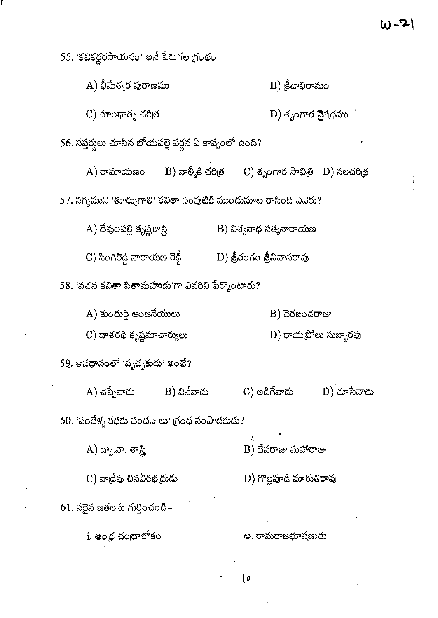55. 'కవికర్ణరసాయనం' అనే పేరుగల గ్రంథం  $\mathbf{A})$  భీమేశ్వర పురాణము  $B)$  (ဒီ့ထား စာဆဝ  $C)$  మాంధాతృ చరిత్ర D) శృంగార నైషధము 56. సప్తర్నలు చూసిన బోయపల్లె వర్ణన ఏ కావ్యంలో ఉంది?  $\mathbf{B}$ ) వాల్మీకి చరిత్ర $\qquad \mathbf{C}$ ) శృంగార సావిత్రి $\quad \mathbf{D})$  నలచరిత్ర  $A)$  రామాయణం 57. నగ్నముని 'తూర్పుగాలి' కవితా సంపుటికి ముందుమాట రాసింది ఎవెరు? A) దేవులపల్లి కృష్ణశాస్త్రి  $\ket{\text{B}}$  విశ్వనాథ సత్యనారాయణ  $\ket{\text{D}}$  శ్రీరంగం శ్రీనివాసరావు  $\mathbf C$ ) సింగిరెడ్డి నారాయణ రెడ్డీ 58. 'వచన కవితా పితామహుదు'గా ఎవరిని పేర్కొంటారు?  $B)$  చెరబందరాజు  $A)$  కుందుర్తి ఆంజనేయులు  $\mathbf{D}$ ) రాయబ్రోలు సుబ్బారవు  $\mathbf C$ ) దాశరథి కృష్ణమాచార్యులు  $59$ . అవధానంలో 'పృచ్ఛకుదు' అంటే?  $A)$  చెప్పేవాదు  $D)$  చూసేవాదు  $\mathbf C)$  అడిగేవాదు B) వినేవాదు 60. 'వందేళ్ళ కథకు వందనాలు' గ్రంథ సంపాదకుడు?  $(A)$  ద్వా.నా. శాస్త్రి  $B)$  దేవరాజు మహారాజు D) గొల్లపూడి మారుతిరావు  $C)$  వాడేవు చినవీరభద్రుడు  $61$ . సరైన జతలను గుర్తించండి– i. ఆంధ చందాలోకం అ. రామరాజభూషణుదు

い・こ

l o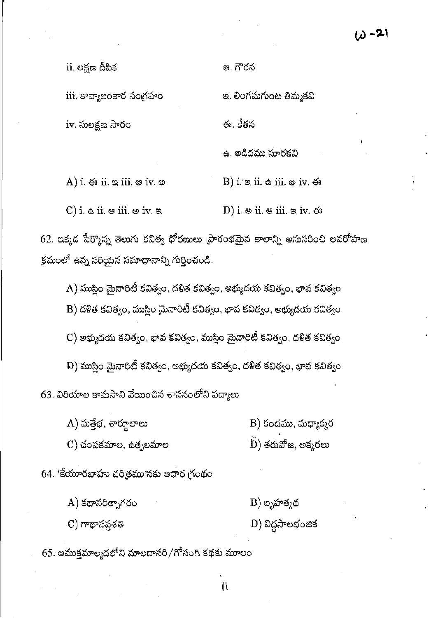$\mathbf{ii}$ . లక్షణ దీపిక

iii. కావ్యాలంకార సంగ్రహం

ఆ. గౌరన

ఇ. లింగమగుంట తిమ్మకవి ఈ. కేతన iv. సులక్షణ సారం ఉ. అడిదము సూరకవి

A) i.  $\lessdot$  ii.  $\approx$  iii.  $\approx$  iv.  $\approx$ B) i.  $\alpha$  ii.  $\phi$  iii.  $\phi$  iv.  $\phi$  $\mathbf C$ ) i.  $\mathbf \dot{\mathbf e}$  ii.  $\mathbf e$  iii.  $\mathbf e$  iv.  $\mathbf a$ D) i.  $\circ$  ii.  $\circ$  iii.  $\circ$  iv.  $\circ$ 

 $62$ . ఇక్కడ పేర్కొన్న తెలుగు కవిత్వ ధోరణులు ప్రారంభమైన కాలాన్ని అనుసరించి అవరోహణ క్రమంలో ఉన్న సరియైన సమాధానాన్ని గుర్తించండి.

 $\mathbf{A})$  ముస్లిం మైనారిటీ కవిత్వం, దళిత కవిత్వం, అభ్యుదయ కవిత్వం, భావ కవిత్వం

B) దళిత కవిత్వం, ముస్లిం మైనారిటీ కవిత్వం, భావ కవిత్వం, అభ్యుదయ కవిత్వం

 $\mathbf C$ ) అభ్యుదయ కవిత్వం, భావ కవిత్వం, ముస్లిం మైనారిటీ కవిత్వం, దళిత కవిత్వం

 $\, {\bf D}) \,$ ముస్లిం మైనారిటీ కవిత్వం, అభ్యుదయ కవిత్వం, దళిత కవిత్వం, భావ కవిత్వం 63. విరియాల కామసాని వేయించిన శాసనంలోని పద్యాలు

 $(A)$  మత్తేభ, శార్తూలాలు B) కందము, మధ్యాక్మర

 $\rm \tilde{D})$  తరువోజ, అక్కరలు  $\mathbf C)$  చంపకమాల, ఉతృలమాల

64. 'కేయూరబాహు చరిత్రము'నకు ఆధార గ్రంథం

 $A)$  కథాసరిత్నాగరం

C) గాథాసప్తశతి

 $\mathbf D$ ) విద్దసాలభంజిక

 $B)$  బృహత్మథ

65. ఆముక్తమాల్యదలోని మాలదాసరి/గోసంగి కథకు మూలం

 $\mathfrak{g}$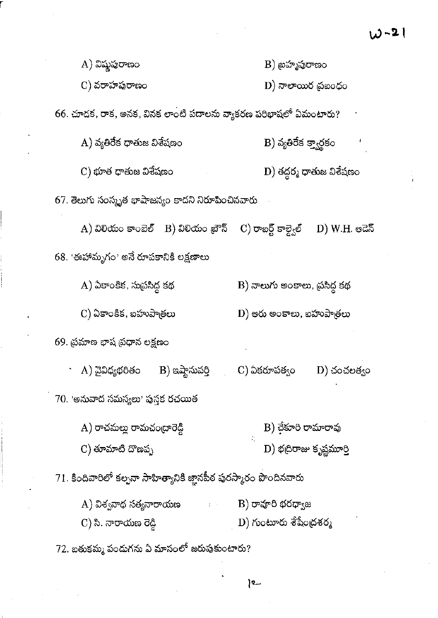$W - 21$ 

| A) విష్ణపురాణం                                                    | B) బ్రహ్మపురాణం                                                 |  |  |  |  |
|-------------------------------------------------------------------|-----------------------------------------------------------------|--|--|--|--|
| C) వరాహపురాణం                                                     | D) నాలాయిర <sub>(</sub> పఐంధం                                   |  |  |  |  |
|                                                                   | 66. చూడక, రాక, అనక, వినక లాంటి పదాలను వ్యాకరణ పరిభాషలో ఏమంటారు? |  |  |  |  |
| A) వ్యతిరేక ధాతుజ విశేషణం                                         | B) వ్యతిరేక క్వార్థకం                                           |  |  |  |  |
| C) భూత ధాతుజ విశేషణం                                              | D) తద్దర్మ ధాతుజ విశేషణం                                        |  |  |  |  |
| 67. తెలుగు సంస్కృత భాషాజన్యం కాదని నిరూపించినవారు                 |                                                                 |  |  |  |  |
| $\rm A)$ విలియం కాంబెల్ $\rm ~B)$ విలియం బ్రౌన్ $\rm ~$           | C) రాబర్ట్ కాల్వైల్<br>D) W.H. ఆడెన్                            |  |  |  |  |
| 68. 'ఈహామృగం' అనే రూపకానికి లక్షణాలు                              |                                                                 |  |  |  |  |
| A) ఏకాంకిక, సుప్రసిద్ధ కథ                                         | B) నాలుగు అంకాలు, ప్రసిద్ధ కథ                                   |  |  |  |  |
| C) ఏకాంకిక, ఐహుపాత్రలు                                            | $\mathbf D$ ) అరు అంకాలు, బహుపాత్రలు                            |  |  |  |  |
| 69. ప్రమాణ భాష ప్రధాన లక్షణం                                      |                                                                 |  |  |  |  |
| A) వైవిధ్యభరితం<br>$B)$ ఇష్టానువర్తి                              | C) ఏకరూపత్వం<br>$\mathbf{D}$ ) చంచలత్వం                         |  |  |  |  |
| 70. 'అనువాద సమస్యలు' పుస్తక రచయిత                                 |                                                                 |  |  |  |  |
| A) రాచమల్లు రామచంద్రారెడ్డి                                       | $\mathbf B)$ చేకూరి రామారావు                                    |  |  |  |  |
| $(C)$ తూమాటి దొణప్ప                                               | $D)$ భద్రిరాజు కృష్ణమూర్తి                                      |  |  |  |  |
| 71. కిందివారిలో కల్పనా సాహిత్యానికి జ్ఞానపీఠ పురస్కారం పొందినవారు |                                                                 |  |  |  |  |
| A) విశ్వనాథ సత్యనారాయణ                                            | $\cdot$ B) రావూరి భరధ్వాజ                                       |  |  |  |  |
| C) సి. నారాయణ రెడ్డి                                              | D) గుంటూరు శేషేంద్రశర్మ                                         |  |  |  |  |

 $72$ . బతుకమ్మ పందుగను ఏ మాసంలో జరుపుకుంటారు?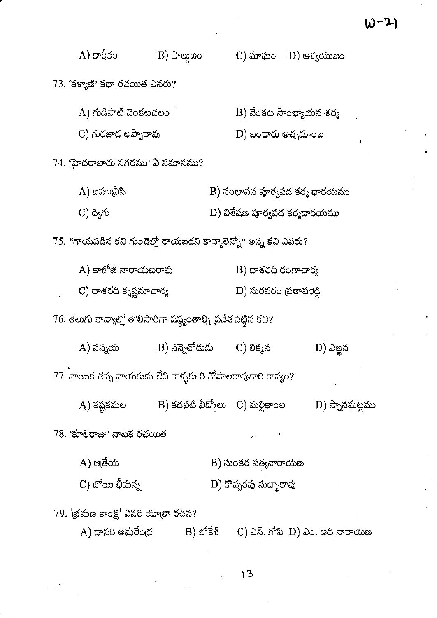|                                                                      | A) కార్తీకం                                                     | $\mathbf{B}$ ) ఫాల్మణం |                                           | $(C)$ మాఘం $(D)$ ఆశ్వయుజం                                |  |  |  |
|----------------------------------------------------------------------|-----------------------------------------------------------------|------------------------|-------------------------------------------|----------------------------------------------------------|--|--|--|
|                                                                      | 73. 'కళ్యాణి' కథా రచయిత ఎవరు?                                   |                        |                                           |                                                          |  |  |  |
|                                                                      | A) గుడిపాటి వెంకటచలం                                            |                        |                                           | $\mathbf B$ ) వేంకట సాంఖ్యాయన శర్మ                       |  |  |  |
|                                                                      | C) గురజాద అప్పారావు                                             |                        | $\left(\mathrm{D}\right)$ బందారు అచ్చమాంబ | ŧ                                                        |  |  |  |
|                                                                      | 74. 'హైదరాబాదు నగరము' ఏ సమాసము?                                 |                        |                                           |                                                          |  |  |  |
|                                                                      | $\bm{\mathrm{A}}$ ) బహుబ్రీహి                                   |                        |                                           | B) సంభావన పూర్వపద కర్మ ధారయము                            |  |  |  |
|                                                                      | $\mathbf{C}$ ) ద్విగు                                           |                        | D) విశేషణ హర్వపద కర్మదారయము               |                                                          |  |  |  |
|                                                                      | 75. "గాయపడిన కవి గుండెల్తో రాయబడని కావ్యాలెన్నో" అన్న కవి ఎవరు? |                        |                                           |                                                          |  |  |  |
|                                                                      | A) కాళోజి నారాయణరావు                                            |                        |                                           | $\rm\,B)$ దాశరథి రంగాచార్య                               |  |  |  |
|                                                                      | $\mathbf C$ ) దాశరథి కృష్ణమాచార్య                               |                        | D) సురవరం <sub>(</sub> పతాపరెడ్డి         |                                                          |  |  |  |
| 76. తెలుగు కావ్యాల్లో తొలిసారిగా షష్ట్రంతాల్ని ద్రవేశపెట్టిన కవి?    |                                                                 |                        |                                           |                                                          |  |  |  |
|                                                                      | A) నన్నయ                                                        | B) నన్నెచోదుడు         | C) తిక్కన                                 | D) ఎఱ్ఱన                                                 |  |  |  |
| 77. నాయిక తప్ప నాయకుడు లేని కాళ్ళకూరి గోపాలరావుగారి కావ్యం?          |                                                                 |                        |                                           |                                                          |  |  |  |
|                                                                      | $(A)$ కష్టకమల                                                   |                        | $B)$ కదపటి వీద్కోలు $C)$ మల్లికాంబ        | D) స్నానఘట్టము                                           |  |  |  |
| 78. 'కూలిరాజు' నాటక రచయిత<br>$\mathcal{L}^{\text{max}}_{\text{max}}$ |                                                                 |                        |                                           |                                                          |  |  |  |
|                                                                      | A) అతేయ                                                         |                        |                                           | B) సుంకర సత్యనారాయణ                                      |  |  |  |
|                                                                      | C) బోయి భీమన్న                                                  |                        | D) కొప్పరపు సుబ్బారావు                    |                                                          |  |  |  |
|                                                                      | 79. 'భ్రమణ కాంక్ష' ఎవరి యాత్రా రచన?                             |                        |                                           |                                                          |  |  |  |
|                                                                      | A) దాసరి అమరేంద్ర                                               | $B$ ) లోకేశ్           |                                           | $\mathcal{C}$ ) ఎన్. గోపి $\mathcal{D}$ ) ఎం. ఆది నారాయణ |  |  |  |

 $\ddot{\phantom{0}}$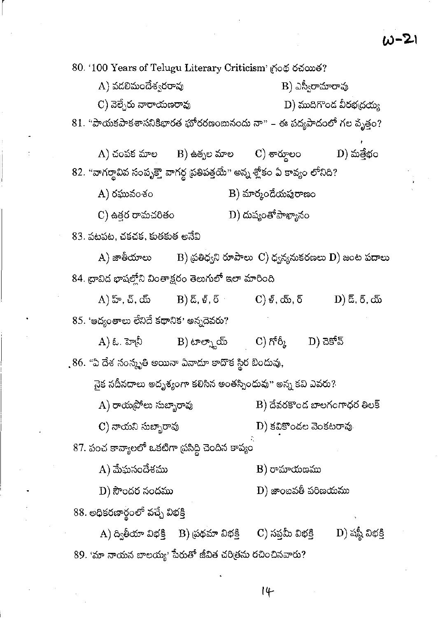80. '100 Years of Telugu Literary Criticism' (Λοφ Οώωδ?

| A) వడలిమందేశ్వరరావు                                                        | $\mathbf B$ ) ఎస్వీరామారావు                                                     |                                        |                                                                         |  |  |
|----------------------------------------------------------------------------|---------------------------------------------------------------------------------|----------------------------------------|-------------------------------------------------------------------------|--|--|
| $\mathbf C$ ) వెల్చేరు నారాయణరావు                                          |                                                                                 |                                        | D) ముదిగొండ వీరభద్రయ్య                                                  |  |  |
| $81.$ ''పాయకపాకశాసనికిభారత భూీరరణంబునందు నా'' – ఈ పద్యపాదంలో గల వృత్తం?    |                                                                                 |                                        |                                                                         |  |  |
|                                                                            | $\rm{(A)}$ చంపక మాల $\rm{(B)}$ ఉత్పల మాల $\rm{(C)}$ శార్తూలం $\rm{(D)}$ మత్తేభం |                                        |                                                                         |  |  |
| 82. "వాగర్థావివ సంపృక్తాె వాగర్థ ప్రతిపత్తయే" అన్న శ్లోకం ఏ కావ్యం లోనిది? |                                                                                 |                                        |                                                                         |  |  |
|                                                                            |                                                                                 |                                        |                                                                         |  |  |
| A) రఘువంశం                                                                 |                                                                                 | $B)$ మార్మందేయపురాణం                   |                                                                         |  |  |
| C) ఉత్తర రామచరితం                                                          |                                                                                 |                                        |                                                                         |  |  |
| 83. పటపట, చకచక, కుతకుత అనేవి                                               |                                                                                 |                                        |                                                                         |  |  |
|                                                                            |                                                                                 |                                        | A) జాతీయాలు $\qquad$ B) ప్రతిధ్వని రూపాలు C) ధ్వన్యనుకరణలు D) జంట పదాలు |  |  |
| 84. ద్రావిద భాషల్లోని వింతాక్షరం తెలుగులో ఇలా మారింది                      |                                                                                 |                                        |                                                                         |  |  |
|                                                                            | $(A)$ హ్, చ్, య్ $(B)$ డ్, ళ్, ర్ $(C)$ ళ్, య్, ర్                              |                                        | D) $\bar{a}$ , $\bar{b}$ , $\bar{c}$                                    |  |  |
| 85. 'ఆద్యంతాలు లేనిదే కథానిక' అన్నదెవరు?                                   |                                                                                 |                                        |                                                                         |  |  |
|                                                                            | A) ఓ. హెస్టీ           B) టాల్స్టాయ్         C) గోర్మీ       D) చెకోవ్          |                                        |                                                                         |  |  |
| .86. "ఏ దేశ సంస్కృతి అయినా ఏనాదూ కాదొక స్థిర బిందువు,                      |                                                                                 |                                        |                                                                         |  |  |
| నైక నదీనదాలు అదృశ్యంగా కలిసిన అంతస్పింధువు'' అన్న కవి ఎవరు?                |                                                                                 |                                        |                                                                         |  |  |
| A) రాయప్రోలు సుబ్బారావు                                                    |                                                                                 | $\mathbf B$ ) దేవరకొంద బాలగంగాధర తిలక్ |                                                                         |  |  |
| C) నాయని సుబ్బారావు                                                        |                                                                                 | D) కవికొండల వెంకటరావు                  |                                                                         |  |  |
| 87. పంచ కావ్యాలలో ఒకటిగా ద్రసిద్ధి చెందిన కావ్యం                           |                                                                                 |                                        |                                                                         |  |  |
| A) మేఘసందేశము                                                              |                                                                                 | B) రామాయణము                            |                                                                         |  |  |
| D) సౌందర నందము                                                             |                                                                                 | ${\rm D})$ జాంబవతీ పరిణయము             |                                                                         |  |  |
| 88. అధికరణార్థంలో వచ్చే విభక్తి                                            |                                                                                 |                                        |                                                                         |  |  |
|                                                                            | A) ద్వితీయా విభక్తి     B) ప్రథమా విభక్తి                                       | C) సప్తమీ విభక్తి                      | D) షష్ఠీ విభక్తి                                                        |  |  |
| 89. 'మా నాయన బాలయ్య' పేరుతో జీవిత చరిత్రను రచించినవారు?                    |                                                                                 |                                        |                                                                         |  |  |

 $\ddot{\phantom{0}}$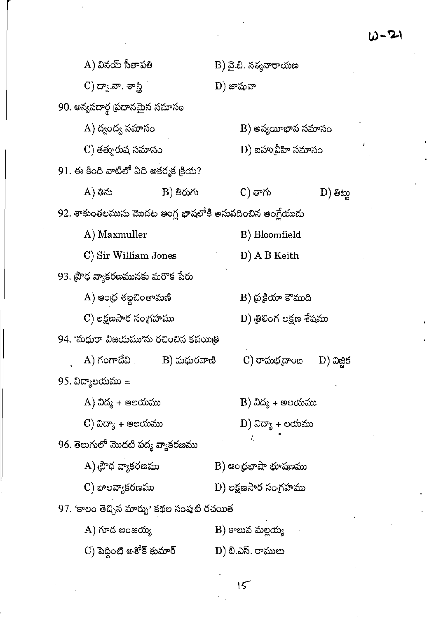$\sim$ 

 $\sim 40$ 

 $\frac{1}{2}$  .

| A) వినయ్ సీతాపతి                                         |           |                                         | B) వై.బి. నత్యనారాయణ         |  |                     |  |
|----------------------------------------------------------|-----------|-----------------------------------------|------------------------------|--|---------------------|--|
| $\rm C)$ ద్వా.నా. శాస్త్రి                               |           |                                         | D) జాషువా                    |  |                     |  |
| 90. అన్యపదార్థ (పధానమైన సమాసం                            |           |                                         |                              |  |                     |  |
| A) ద్వంద్య సమాసం                                         |           |                                         | B) అవ్యయీభావ సమాసం           |  |                     |  |
| C) తత్పురుష సమాసం                                        |           |                                         | $\mathbf D)$ బహుబ్రీహి సమాసం |  |                     |  |
| 91. ఈ కింది వాటిలో ఏది అకర్మక డ్రియ?                     |           |                                         |                              |  |                     |  |
| A) తిను                                                  | B) తిరుగు |                                         | C) తాగు                      |  | $\mathbf{D}$ ) මිසා |  |
| 92. శాకుంతలమును మొదట ఆంగ్ల భాషలోకి అనువదించిన ఆంగ్లేయుడు |           |                                         |                              |  |                     |  |
| A) Maxmuller                                             |           | B) Bloomfield                           |                              |  |                     |  |
| C) Sir William Jones                                     |           |                                         | D) A B Keith                 |  |                     |  |
| 93. ప్రౌఢ వ్యాకరణమునకు మరొక పేరు                         |           |                                         |                              |  |                     |  |
| A) ఆంధ్ర శబ్దచింతామణి                                    |           |                                         | B) ప్రక్రియా కౌముది          |  |                     |  |
| C) లక్షణసార సంగ్రహము                                     |           |                                         | D) త్రిలింగ లక్షణ శేషము      |  |                     |  |
| 94. 'మధురా విజయము'ను రచించిన కవయిత్రి                    |           |                                         |                              |  |                     |  |
| $\bf A)$ గంగాదేవి $\bf B)$ మధురవాణి                      |           |                                         | $\rm C)$ రామభ $\rm g$ ాంబ    |  | $D)$ ධිසූජ          |  |
| 95. విద్యాలయము =                                         |           |                                         |                              |  |                     |  |
| A) విద్య + ఆలయము                                         |           | $\mathbf{B})$ విద్య + అలయము             |                              |  |                     |  |
| C) విద్యా + ఆలయము                                        |           | $\left(\mathrm{D}\right)$ విద్యా + లయము |                              |  |                     |  |
| 96. తెలుగులో మొదటి పద్య వ్యాకరణము                        |           |                                         |                              |  |                     |  |
| A) ప్రౌధ వ్యాకరణము                                       |           | $\mathbf B$ ) ఆంధ్రభాషా భూషణము          |                              |  |                     |  |
| C) బాలవ్యాకరణము                                          |           |                                         | D) లక్షణసార సంగ్రహము         |  |                     |  |
| 97. 'కాలం తెచ్చిన మార్పు' కథల సంపుటి రచయిత               |           |                                         |                              |  |                     |  |
| $(A)$ గూద అంజయ్య                                         |           |                                         | B) కాలువ మల్లయ్య             |  |                     |  |
| C) పెద్దింటి అశోక్ కుమార్                                |           |                                         | D) బి.ఎస్. రాములు            |  |                     |  |

 $\bar{\epsilon}$ 

 $\label{eq:2} \frac{1}{\sqrt{2}}\left(\frac{1}{\sqrt{2}}\right)^{2} \left(\frac{1}{\sqrt{2}}\right)^{2}$